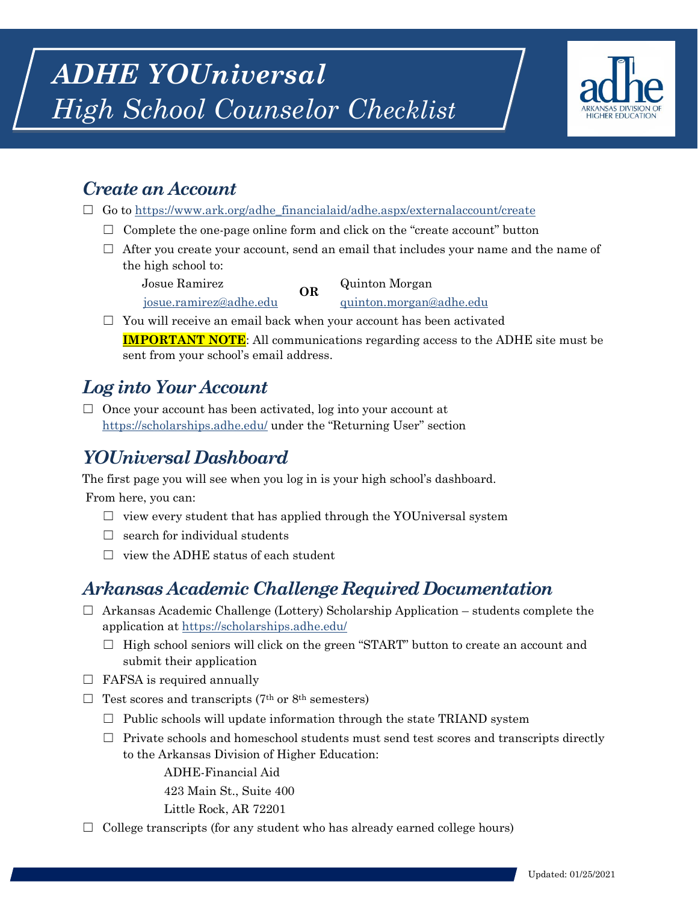# *ADHE YOUniversal High School Counselor Checklist*



## *Create an Account*

- $\Box$  Go to [https://www.ark.org/adhe\\_financialaid/adhe.aspx/externalaccount/create](https://www.ark.org/adhe_financialaid/adhe.aspx/externalaccount/create)
	- $\Box$  Complete the one-page online form and click on the "create account" button
	- $\Box$  After you create your account, send an email that includes your name and the name of the high school to:

Josue Ramirez Quinton Morgan

[josue.ramirez@adhe.edu](mailto:josue.ramirez@adhe.edu) [quinton.morgan@adhe.edu](mailto:quinton.morgan@adhe.edu)

 $\Box$  You will receive an email back when your account has been activated

**OR**

**IMPORTANT NOTE**: All communications regarding access to the ADHE site must be sent from your school's email address.

## *Log into Your Account*

 $\Box$  Once your account has been activated, log into your account at <https://scholarships.adhe.edu/> under the "Returning User" section

## *YOUniversal Dashboard*

The first page you will see when you log in is your high school's dashboard.

From here, you can:

- $\Box$  view every student that has applied through the YOUniversal system
- $\Box$  search for individual students
- $\Box$  view the ADHE status of each student

#### *Arkansas Academic Challenge Required Documentation*

- $\Box$  Arkansas Academic Challenge (Lottery) Scholarship Application students complete the application at <https://scholarships.adhe.edu/>
	- $\Box$  High school seniors will click on the green "START" button to create an account and submit their application
- $\Box$  FAFSA is required annually
- $\Box$  Test scores and transcripts (7<sup>th</sup> or 8<sup>th</sup> semesters)
	- $\Box$  Public schools will update information through the state TRIAND system
	- $\Box$  Private schools and homeschool students must send test scores and transcripts directly to the Arkansas Division of Higher Education:

ADHE-Financial Aid 423 Main St., Suite 400 Little Rock, AR 72201

 $\Box$  College transcripts (for any student who has already earned college hours)